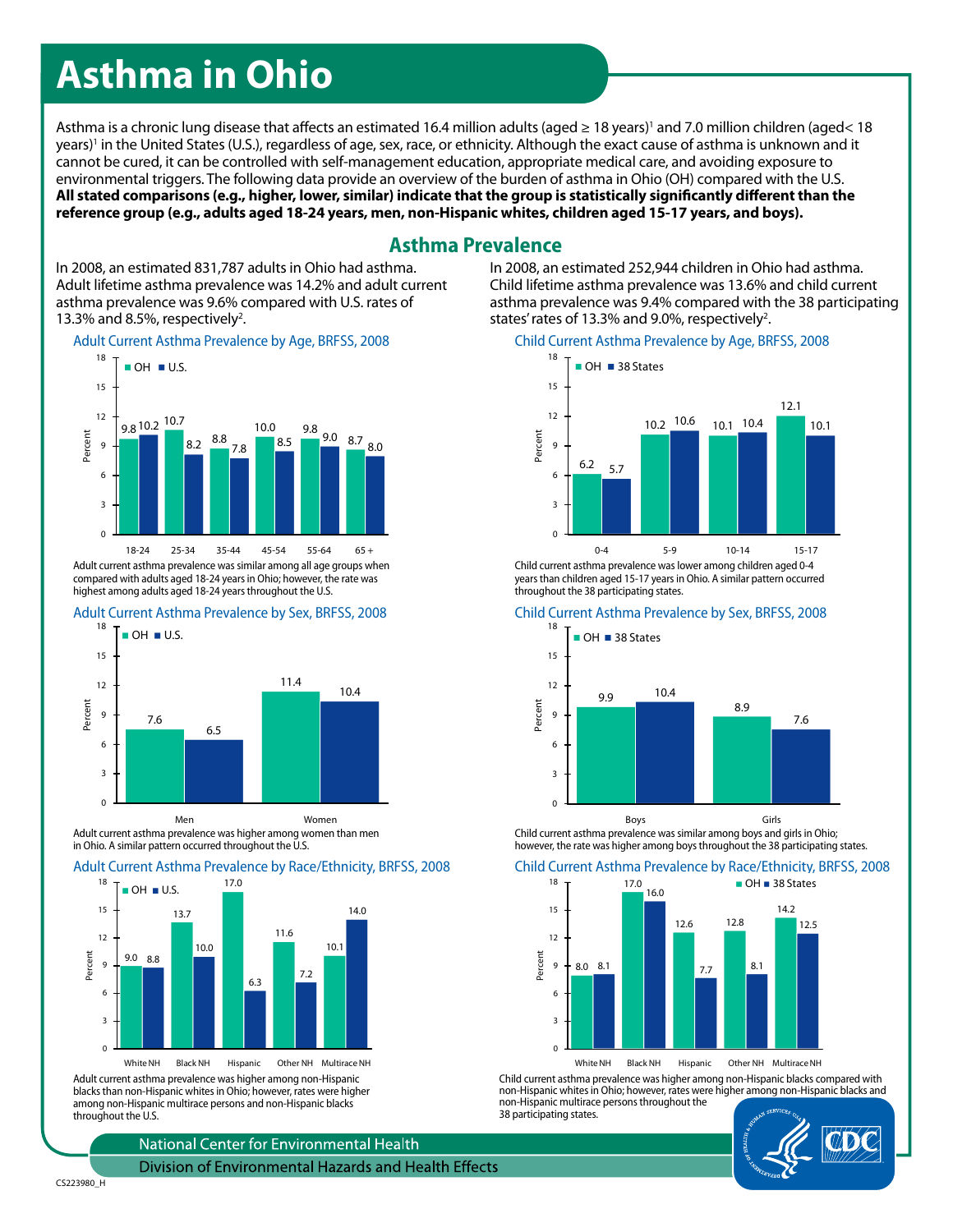# **Asthma in Ohio**

Asthma is a chronic lung disease that affects an estimated 16.4 million adults (aged ≥ 18 years)' and 7.0 million children (aged< 18 years)' in the United States (U.S.), regardless of age, sex, race, or ethnicity. Although the exact cause of asthma is unknown and it cannot be cured, it can be controlled with self-management education, appropriate medical care, and avoiding exposure to environmental triggers. The following data provide an overview of the burden of asthma in Ohio (OH) compared with the U.S. **All stated comparisons (e.g., higher, lower, similar) indicate that the group is statistically significantly different than the reference group (e.g., adults aged 18-24 years, men, non-Hispanic whites, children aged 15-17 years, and boys).**

### **Asthma Prevalence**

In 2008, an estimated 831,787 adults in Ohio had asthma. Adult lifetime asthma prevalence was 14.2% and adult current asthma prevalence was 9.6% compared with U.S. rates of 13.3% and 8.5%, respectively<sup>2</sup>.

Adult Current Asthma Prevalence by Age, BRFSS, 2008



Adult current asthma prevalence was similar among all age groups when compared with adults aged 18-24 years in Ohio; however, the rate was highest among adults aged 18-24 years throughout the U.S.





Adult current asthma prevalence was higher among women than men in Ohio. A similar pattern occurred throughout the U.S.

### Adult Current Asthma Prevalence by Race/Ethnicity, BRFSS, 2008



Adult current asthma prevalence was higher among non-Hispanic blacks than non-Hispanic whites in Ohio; however, rates were higher among non-Hispanic multirace persons and non-Hispanic blacks throughout the U.S.

National Center for Environmental Health

Division of Environmental Hazards and Health Effects

Child lifetime asthma prevalence was 13.6% and child current asthma prevalence was 9.4% compared with the 38 participating states' rates of 13.3% and 9.0%, respectively<sup>2</sup>.

#### Child Current Asthma Prevalence by Age, BRFSS, 2008

In 2008, an estimated 252,944 children in Ohio had asthma.



Child current asthma prevalence was lower among children aged 0-4 years than children aged 15-17 years in Ohio. A similar pattern occurred throughout the 38 participating states.

#### Child Current Asthma Prevalence by Sex, BRFSS, 2008



Child current asthma prevalence was similar among boys and girls in Ohio; however, the rate was higher among boys throughout the 38 participating states.

### Child Current Asthma Prevalence by Race/Ethnicity, BRFSS, 2008



White NH Black NH Hispanic Other NH Multirace NH

Child current asthma prevalence was higher among non-Hispanic blacks compared with non-Hispanic whites in Ohio; however, rates were higher among non-Hispanic blacks and non-Hispanic multirace persons throughout the 38 participating states.